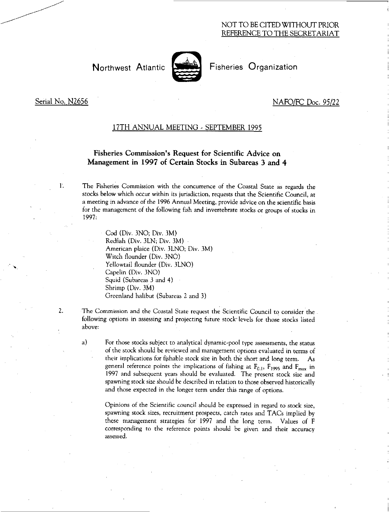## NOT TO BE CITED WITHOUT PRIOR REFERENCE TO THE SECRETARIAT

# Northwest Atlantic State Fisheries Organization



# Serial No. N2656 NAFO/FC Doc. 95/22

#### 17TH ANNUAL MEETING - SEPTEMBER 1995

## Fisheries Commission's Request for Scientific Advice on Management in 1997 of Certain Stocks in Subareas 3 and 4

1. The Fisheries Commission with the concurrence of the Coastal State as regards the stocks below which occur within its jurisdiction, requests that the Scientific Council, at a meeting in advance of the 1996 Annual Meeting, provide advice on the scientific basis for the management of the following fish and invertebrate stocks or groups of stocks in 1997:

> Cod (Div. 3NO; Div. 3M) Redfish (Div. 3LN; Div. 3M) American plaice (Div. 3LNO; Div. 3M) Witch flounder (Div. 3NO) Yellowtail flounder (Div. 3LNO) Capelin (Div. 3NO) Squid (Subareas 3 and 4) Shrimp (Div.  $3\dot{M}$ ) Greenland halibut (Subareas 2 and 3)

2. The Commission and the Coastal State request the Scientific Council to consider the following options in assessing and projecting future stock' levels for those stocks listed above:

a) For those stocks subject to analytical dynamic-pool type assessments, the status of the stock should be reviewed and management options evaluated in terms of their implications for fishable stock size in both the short and long term. As general reference points the implications of fishing at  $F_{0.1}$ ,  $F_{1995}$  and  $F_{max}$  in 1997 and subsequent years should be evaluated. The present stock size and spawning stock size should be described in relation to those observed historically and those expected in the longer term under this range of options.

Opinions of the Scientific council should be expressed in regard to stock size, spawning stock sizes, recruitment prospects, catch rates and TACs implied by these management strategies for 1997 and the long term. Values of F corresponding to the reference points should be given and their accuracy assessed.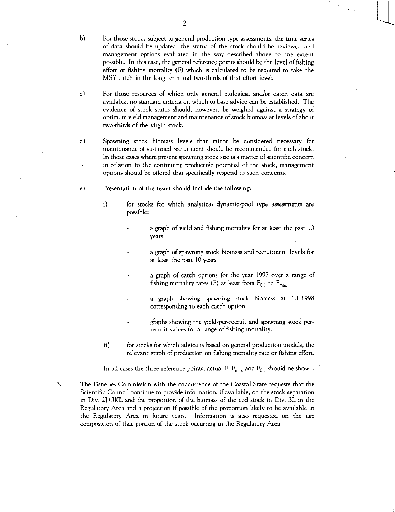- b) For those stocks subject to general production-type assessments, the time series of data should be updated, the status of the stock should be reviewed and management options evaluated in the way described above to the extent possible. In this case, the general reference points should be the level of fishing effort or fishing mortality (F) which is calculated to be required to take the MSY catch in the long term and two-thirds of that effort level.
- c) For those resources of which only general biological and/or catch data are available, no standard criteria on which to base advice can be established. The evidence of stock status should, however, be weighed against a strategy of optimum yield management and maintenance of stock biomass at levels of about two-thirds of the virgin stock.
- d) Spawning stock biomass levels that might be considered necessary for maintenance of sustained recruitment should be recommended for each stock. In those cases where present spawning stock size is a matter of scientific concern in relation to the continuing productive potential' of the stock, management options should be offered that specifically respond to such concerns.
- e) Presentation of the result should include the following:
	- $\mathbf{i}$ for stocks for which analytical dynamic-pool type assessments are possible:
		- a graph of yield and fishing mortality for at least the past 10 years.
		- a graph of spawning stock biomass and recruitment levels for at least the past 10 years.
		- a graph of catch options for the year 1997 over a range of fishing mortality rates (F) at least from  $F_{0,1}$  to  $F_{\text{max}}$ .
		- a graph showing spawning stock biomass at 1.1.1998 corresponding to each catch option.
		- graphs showing the yield-per-recruit and spawning stock perrecruit values for a range of fishing mortality.
	- ii) for stocks for which advice is based on general production models, the relevant graph of production on fishing mortality rate or fishing effort.

In all cases the three reference points, actual F,  $F_{max}$  and  $F_{0,1}$  should be shown.

- 3. The Fisheries Commission with the concurrence of the Coastal State requests that the Scientific Council continue to provide information, if available, on the stock separation in Div. 2J +3KL and the proportion of the biomass of the cod stock in Div. 3L in the Regulatory Area and a projection if possible of the proportion likely to be available in the Regulatory Area in future years. Information is also requested on the age composition of that portion of the stock occurring in the Regulatory Area.
-